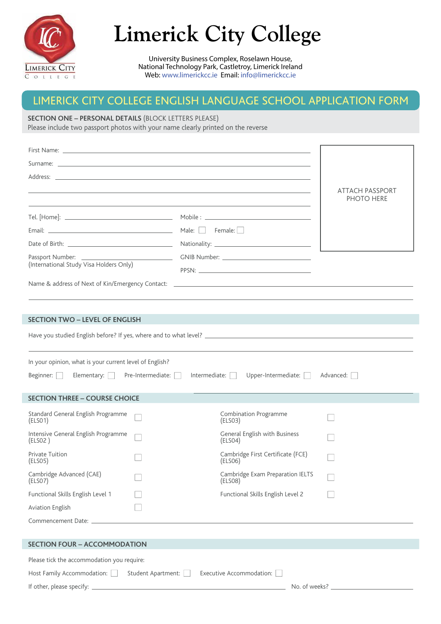

# **Limerick City College**

University Business Complex, Roselawn House, National Technology Park, Castletroy, Limerick Ireland Web: www.limerickcc.ie Email: info@limerickcc.ie

# LIMERICK CITY COLLEGE ENGLISH LANGUAGE SCHOOL APPLICATION FORM

# **SECTION ONE – PERSONAL DETAILS** (BLOCK LETTERS PLEASE)

Please include two passport photos with your name clearly printed on the reverse

|                                                                                                                |                    |                                                                                                                  | <b>ATTACH PASSPORT</b> |
|----------------------------------------------------------------------------------------------------------------|--------------------|------------------------------------------------------------------------------------------------------------------|------------------------|
|                                                                                                                |                    | and the control of the control of the control of the control of the control of the control of the control of the | PHOTO HERE             |
|                                                                                                                |                    |                                                                                                                  |                        |
|                                                                                                                |                    |                                                                                                                  |                        |
|                                                                                                                |                    |                                                                                                                  |                        |
| (International Study Visa Holders Only)                                                                        |                    |                                                                                                                  |                        |
|                                                                                                                |                    |                                                                                                                  |                        |
|                                                                                                                |                    |                                                                                                                  |                        |
|                                                                                                                |                    |                                                                                                                  |                        |
| <b>SECTION TWO - LEVEL OF ENGLISH</b>                                                                          |                    |                                                                                                                  |                        |
|                                                                                                                |                    |                                                                                                                  |                        |
|                                                                                                                |                    |                                                                                                                  |                        |
| In your opinion, what is your current level of English?                                                        |                    |                                                                                                                  |                        |
| Beginner:<br>Elementary: $\Box$ Pre-Intermediate: $\Box$                                                       |                    | Upper-Intermediate: $\Box$<br>Intermediate:                                                                      | Advanced:              |
|                                                                                                                |                    |                                                                                                                  |                        |
| <b>SECTION THREE - COURSE CHOICE</b>                                                                           |                    |                                                                                                                  |                        |
| Standard General English Programme<br>(ELSO1)                                                                  |                    | <b>Combination Programme</b><br>(ELSO3)                                                                          |                        |
| Intensive General English Programme<br>(ELSO2)                                                                 |                    | General English with Business<br>(ELSO4)                                                                         |                        |
| <b>Private Tuition</b><br>(ELSO5)                                                                              |                    | Cambridge First Certificate (FCE)<br>(ELSO6)                                                                     |                        |
| Cambridge Advanced (CAE)<br>(ELSO7)                                                                            |                    | Cambridge Exam Preparation IELTS<br>(ELSO8)                                                                      |                        |
| Functional Skills English Level 1                                                                              |                    | Functional Skills English Level 2                                                                                |                        |
| Aviation English                                                                                               |                    |                                                                                                                  |                        |
| Commencement Date: National Commence of the Commence of the Commence of the Commence of the Commence of the Co |                    |                                                                                                                  |                        |
| <b>SECTION FOUR - ACCOMMODATION</b>                                                                            |                    |                                                                                                                  |                        |
| Please tick the accommodation you require:                                                                     |                    |                                                                                                                  |                        |
| Host Family Accommodation:                                                                                     | Student Apartment: | Executive Accommodation:                                                                                         |                        |
|                                                                                                                |                    |                                                                                                                  |                        |